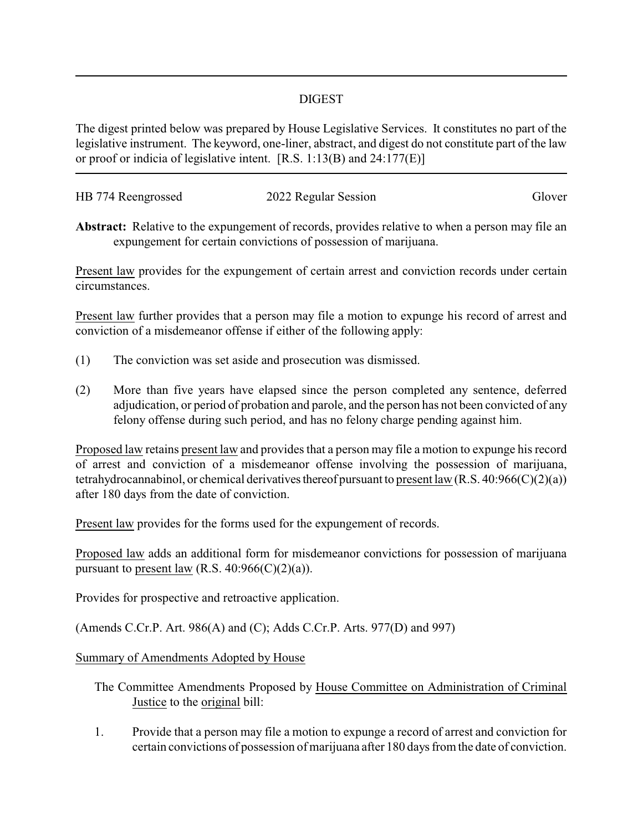## DIGEST

The digest printed below was prepared by House Legislative Services. It constitutes no part of the legislative instrument. The keyword, one-liner, abstract, and digest do not constitute part of the law or proof or indicia of legislative intent. [R.S. 1:13(B) and 24:177(E)]

| HB 774 Reengrossed | 2022 Regular Session | Glover |
|--------------------|----------------------|--------|
|                    |                      |        |

**Abstract:** Relative to the expungement of records, provides relative to when a person may file an expungement for certain convictions of possession of marijuana.

Present law provides for the expungement of certain arrest and conviction records under certain circumstances.

Present law further provides that a person may file a motion to expunge his record of arrest and conviction of a misdemeanor offense if either of the following apply:

- (1) The conviction was set aside and prosecution was dismissed.
- (2) More than five years have elapsed since the person completed any sentence, deferred adjudication, or period of probation and parole, and the person has not been convicted of any felony offense during such period, and has no felony charge pending against him.

Proposed law retains present law and provides that a person may file a motion to expunge his record of arrest and conviction of a misdemeanor offense involving the possession of marijuana, tetrahydrocannabinol, or chemical derivatives thereof pursuant to present law  $(R.S. 40:966(C)(2)(a))$ after 180 days from the date of conviction.

Present law provides for the forms used for the expungement of records.

Proposed law adds an additional form for misdemeanor convictions for possession of marijuana pursuant to present law (R.S.  $40:966(C)(2)(a)$ ).

Provides for prospective and retroactive application.

(Amends C.Cr.P. Art. 986(A) and (C); Adds C.Cr.P. Arts. 977(D) and 997)

## Summary of Amendments Adopted by House

- The Committee Amendments Proposed by House Committee on Administration of Criminal Justice to the original bill:
- 1. Provide that a person may file a motion to expunge a record of arrest and conviction for certain convictions of possession of marijuana after 180 days from the date of conviction.